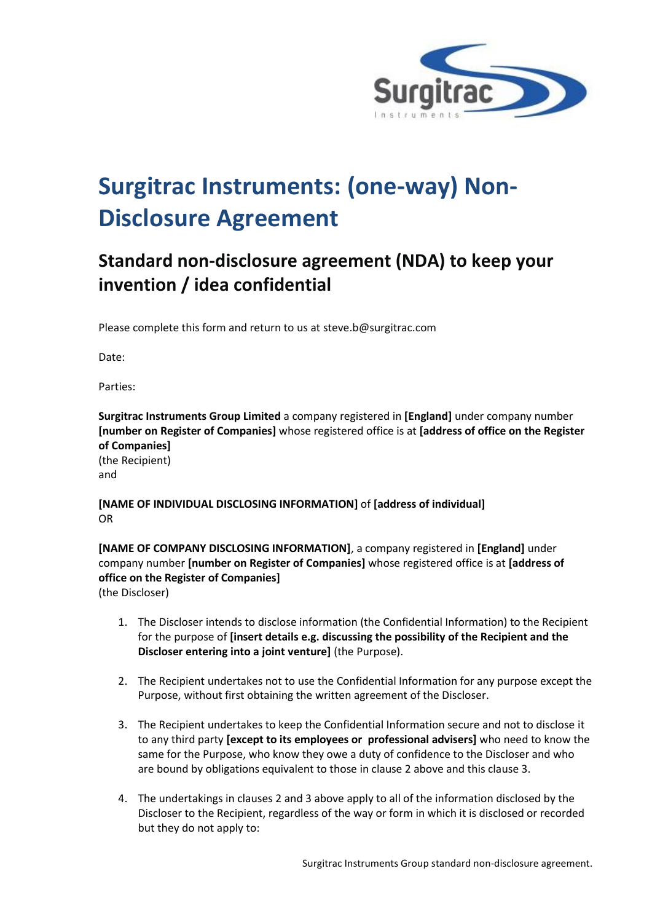

## **Surgitrac Instruments: (one-way) Non-Disclosure Agreement**

## **Standard non-disclosure agreement (NDA) to keep your invention / idea confidential**

Please complete this form and return to us at steve.b@surgitrac.com

Date:

Parties:

**Surgitrac Instruments Group Limited** a company registered in **[England]** under company number **[number on Register of Companies]** whose registered office is at **[address of office on the Register of Companies]** (the Recipient) and

**[NAME OF INDIVIDUAL DISCLOSING INFORMATION]** of **[address of individual]** OR

**[NAME OF COMPANY DISCLOSING INFORMATION]**, a company registered in **[England]** under company number **[number on Register of Companies]** whose registered office is at **[address of office on the Register of Companies]** (the Discloser)

- 1. The Discloser intends to disclose information (the Confidential Information) to the Recipient for the purpose of **[insert details e.g. discussing the possibility of the Recipient and the Discloser entering into a joint venture]** (the Purpose).
- 2. The Recipient undertakes not to use the Confidential Information for any purpose except the Purpose, without first obtaining the written agreement of the Discloser.
- 3. The Recipient undertakes to keep the Confidential Information secure and not to disclose it to any third party **[except to its employees or professional advisers]** who need to know the same for the Purpose, who know they owe a duty of confidence to the Discloser and who are bound by obligations equivalent to those in clause 2 above and this clause 3.
- 4. The undertakings in clauses 2 and 3 above apply to all of the information disclosed by the Discloser to the Recipient, regardless of the way or form in which it is disclosed or recorded but they do not apply to: